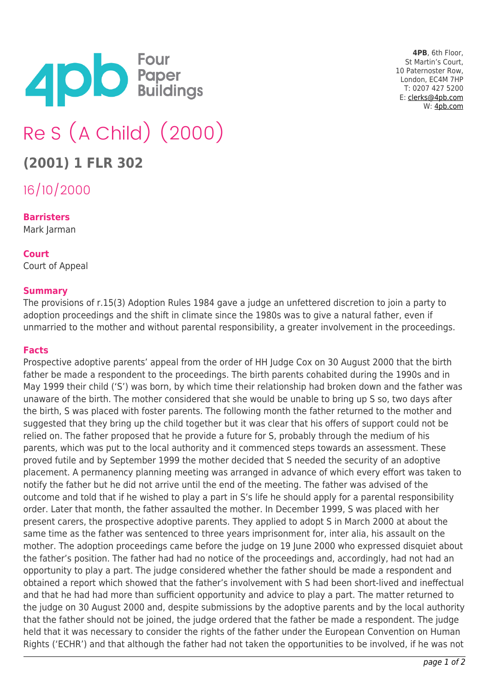

**4PB**, 6th Floor, St Martin's Court, 10 Paternoster Row, London, EC4M 7HP T: 0207 427 5200 E: [clerks@4pb.com](mailto:clerks@4pb.com) W: [4pb.com](http://4pb.com)

# Re S (A Child) (2000)

# **(2001) 1 FLR 302**

16/10/2000

## **Barristers**

Mark Jarman

#### **Court** Court of Appeal

# **Summary**

The provisions of r.15(3) Adoption Rules 1984 gave a judge an unfettered discretion to join a party to adoption proceedings and the shift in climate since the 1980s was to give a natural father, even if unmarried to the mother and without parental responsibility, a greater involvement in the proceedings.

## **Facts**

Prospective adoptive parents' appeal from the order of HH Judge Cox on 30 August 2000 that the birth father be made a respondent to the proceedings. The birth parents cohabited during the 1990s and in May 1999 their child ('S') was born, by which time their relationship had broken down and the father was unaware of the birth. The mother considered that she would be unable to bring up S so, two days after the birth, S was placed with foster parents. The following month the father returned to the mother and suggested that they bring up the child together but it was clear that his offers of support could not be relied on. The father proposed that he provide a future for S, probably through the medium of his parents, which was put to the local authority and it commenced steps towards an assessment. These proved futile and by September 1999 the mother decided that S needed the security of an adoptive placement. A permanency planning meeting was arranged in advance of which every effort was taken to notify the father but he did not arrive until the end of the meeting. The father was advised of the outcome and told that if he wished to play a part in S's life he should apply for a parental responsibility order. Later that month, the father assaulted the mother. In December 1999, S was placed with her present carers, the prospective adoptive parents. They applied to adopt S in March 2000 at about the same time as the father was sentenced to three years imprisonment for, inter alia, his assault on the mother. The adoption proceedings came before the judge on 19 June 2000 who expressed disquiet about the father's position. The father had had no notice of the proceedings and, accordingly, had not had an opportunity to play a part. The judge considered whether the father should be made a respondent and obtained a report which showed that the father's involvement with S had been short-lived and ineffectual and that he had had more than sufficient opportunity and advice to play a part. The matter returned to the judge on 30 August 2000 and, despite submissions by the adoptive parents and by the local authority that the father should not be joined, the judge ordered that the father be made a respondent. The judge held that it was necessary to consider the rights of the father under the European Convention on Human Rights ('ECHR') and that although the father had not taken the opportunities to be involved, if he was not